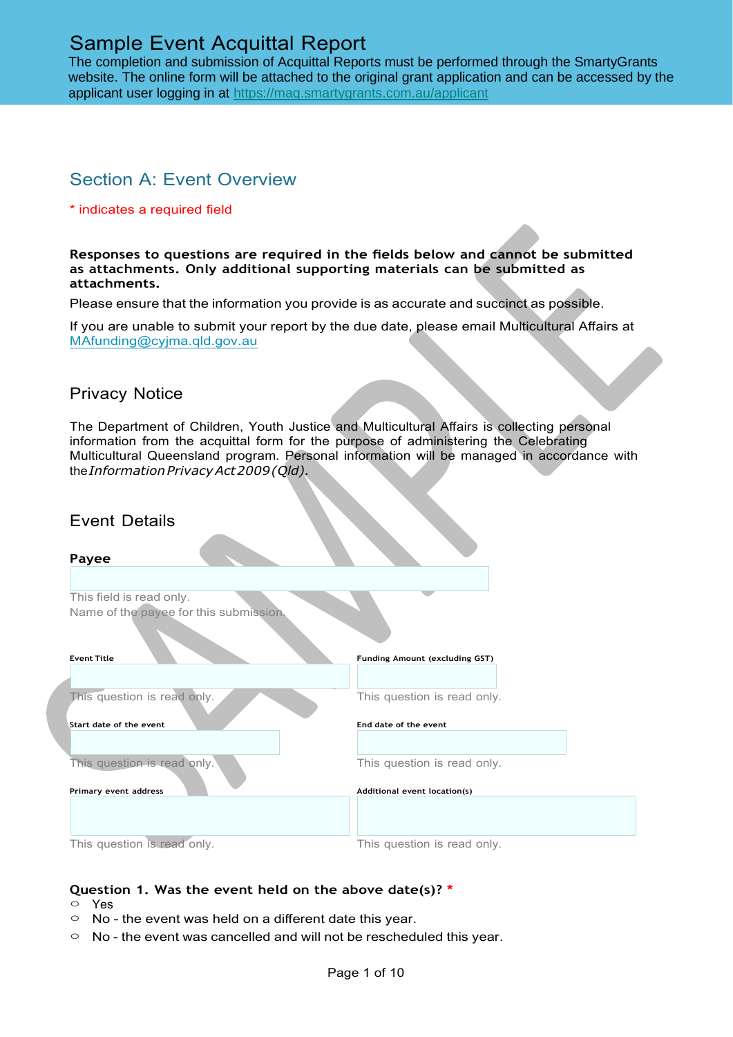The completion and submission of Acquittal Reports must be performed through the SmartyGrants website. The online form will be attached to the original grant application and can be accessed by the applicant user logging in at <https://maq.smartygrants.com.au/applicant>

# Section A: Event Overview

#### \* indicates a required field

#### **Responses to questions are required in the fields below and cannot be submitted as attachments. Only additional supporting materials can be submitted as attachments.**

Please ensure that the information you provide is as accurate and succinct as possible.

If you are unable to submit your report by the due date, please email Multicultural Affairs at [MAfunding@cyjma.qld.gov.au](mailto:MAfunding@cyjma.qld.gov.au)

### Privacy Notice

The Department of Children, Youth Justice and Multicultural Affairs is collecting personal information from the acquittal form for the purpose of administering the Celebrating Multicultural Queensland program. Personal information will be managed in accordance with the*InformationPrivacyAct2009(Qld).*

## Event Details

| Payee                                  |                                |
|----------------------------------------|--------------------------------|
|                                        |                                |
| This field is read only.               |                                |
| Name of the payee for this submission. |                                |
|                                        |                                |
| <b>Event Title</b>                     | Funding Amount (excluding GST) |
|                                        |                                |
| This question is read only.            | This question is read only.    |
|                                        |                                |
| <b>Start date of the event</b>         | End date of the event          |
|                                        |                                |
| This question is read only.            | This question is read only.    |
|                                        |                                |
| Primary event address                  | Additional event location(s)   |
|                                        |                                |
|                                        |                                |
| This question is read only.            | This question is read only.    |

- **Question 1. Was the event held on the above date(s)? \*** ○ Yes
- $\circ$  No the event was held on a different date this year.
- $\circ$  No the event was cancelled and will not be rescheduled this year.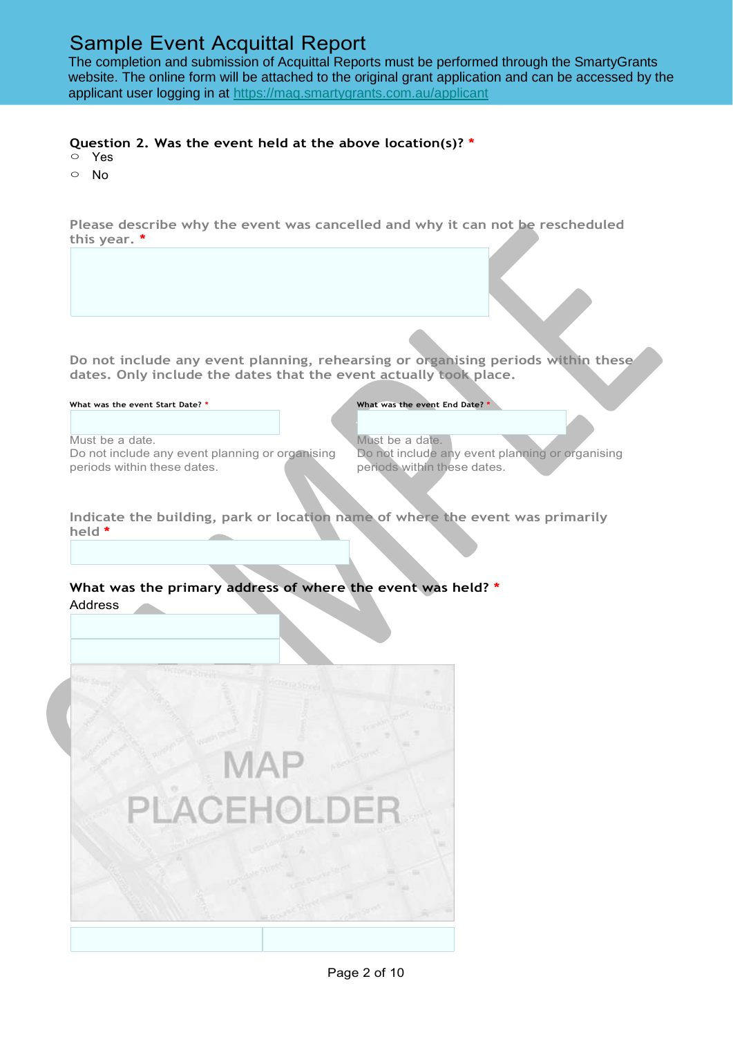The completion and submission of Acquittal Reports must be performed through the SmartyGrants website. The online form will be attached to the original grant application and can be accessed by the applicant user logging in at <https://maq.smartygrants.com.au/applicant>

### **Question 2. Was the event held at the above location(s)? \***

- Yes
- No

**Please describe why the event was cancelled and why it can not be rescheduled this year. \***

**Do not include any event planning, rehearsing or organising periods within these dates. Only include the dates that the event actually took place.**

**What was the event Start Date? \* What was the event End Date? \***

Must be a date. Do not include any event planning or organising periods within these dates.

Must be a date. Do not include any event planning or organising periods within these dates.

**Indicate the building, park or location name of where the event was primarily held \***

#### **What was the primary address of where the event was held? \*** Address

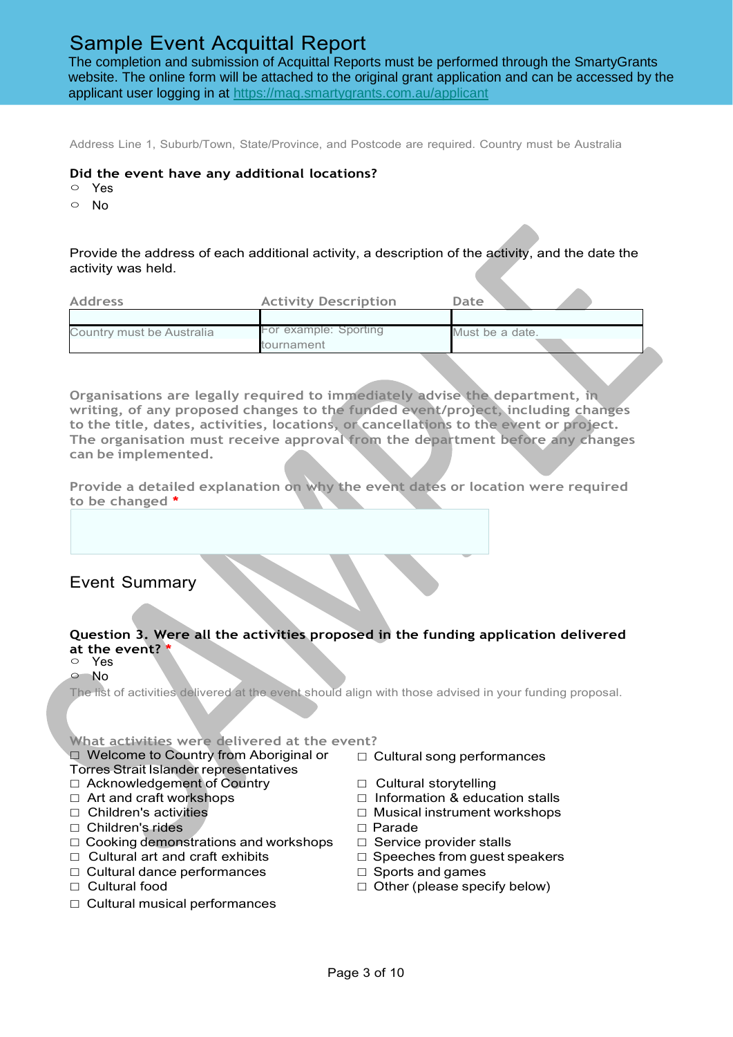The completion and submission of Acquittal Reports must be performed through the SmartyGrants website. The online form will be attached to the original grant application and can be accessed by the applicant user logging in at <https://maq.smartygrants.com.au/applicant>

Address Line 1, Suburb/Town, State/Province, and Postcode are required. Country must be Australia

#### **Did the event have any additional locations?**

- Yes
- No

Provide the address of each additional activity, a description of the activity, and the date the activity was held.

| <b>Address</b>            | <b>Activity Description</b> | Date            |  |
|---------------------------|-----------------------------|-----------------|--|
|                           |                             |                 |  |
| Country must be Australia | For example: Sporting       | Must be a date. |  |
|                           | tournament                  |                 |  |

**Organisations are legally required to immediately advise the department, in writing, of any proposed changes to the funded event/project, including changes to the title, dates, activities, locations, or cancellations to the event or project. The organisation must receive approval from the department before any changes can be implemented.**

**Provide a detailed explanation on why the event dates or location were required to be changed \***

Event Summary

### **Question 3. Were all the activities proposed in the funding application delivered at the event? \***

○ Yes

○ No

The list of activities delivered at the event should align with those advised in your funding proposal.

**What activities were delivered at the event?**

#### ☐ Welcome to Country from Aboriginal or Torres Strait Islander representatives

- ☐ Acknowledgement of Country ☐ Cultural storytelling
- 
- 
- ☐ Children's rides ☐ Parade
- ☐ Cooking demonstrations and workshops ☐ Service provider stalls
- ☐ Cultural art and craft exhibits ☐ Speeches from guest speakers
- ☐ Cultural dance performances ☐ Sports and games
- 
- ☐ Cultural musical performances
- ☐ Cultural song performances
- 
- ☐ Art and craft workshops ☐ Information & education stalls
- ☐ Children's activities ☐ Musical instrument workshops
	-
	-
	-
	-
- ☐ Cultural food ☐ Other (please specify below)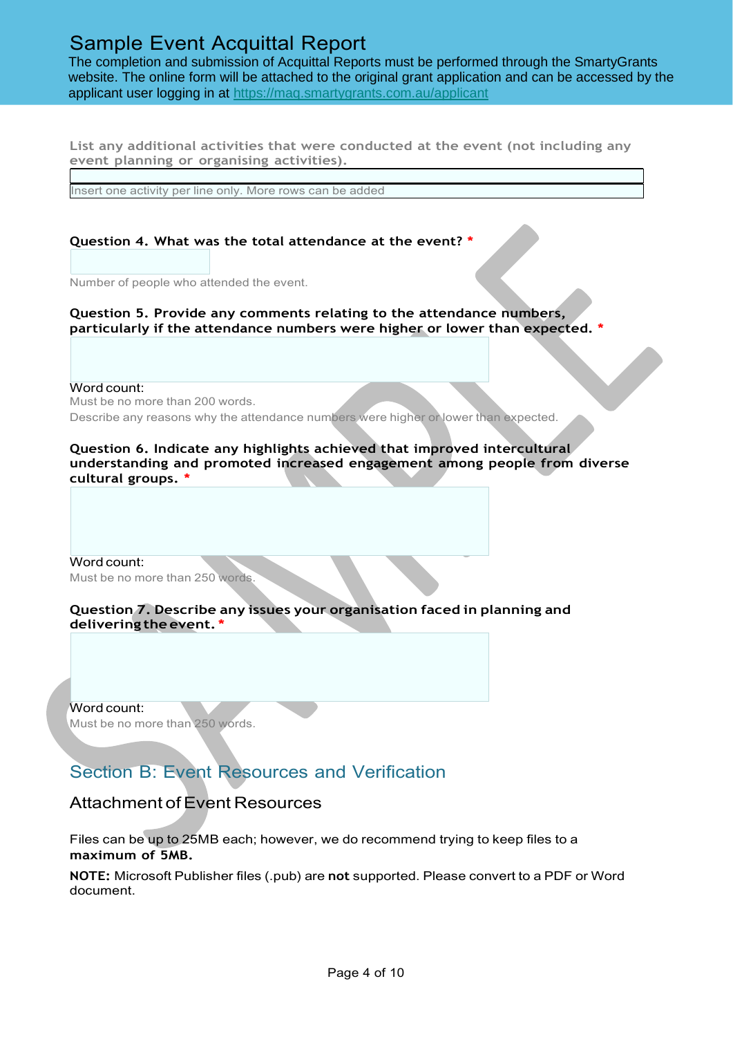The completion and submission of Acquittal Reports must be performed through the SmartyGrants website. The online form will be attached to the original grant application and can be accessed by the applicant user logging in at <https://maq.smartygrants.com.au/applicant>

**List any additional activities that were conducted at the event (not including any event planning or organising activities).**

Insert one activity per line only. More rows can be added

### **Question 4. What was the total attendance at the event? \***

Number of people who attended the event.

**Question 5. Provide any comments relating to the attendance numbers, particularly if the attendance numbers were higher or lower than expected. \***

Word count:

Must be no more than 200 words.

Describe any reasons why the attendance numbers were higher or lower than expected.

**Question 6. Indicate any highlights achieved that improved intercultural understanding and promoted increased engagement among people from diverse cultural groups. \***

Word count: Must be no more than 250 words.

**Question 7. Describe any issues your organisation faced in planning and delivering the event. \***

Word count: Must be no more than 250 words.

# Section B: Event Resources and Verification

## Attachment of Event Resources

Files can be up to 25MB each; however, we do recommend trying to keep files to a **maximum of 5MB.**

**NOTE:** Microsoft Publisher files (.pub) are **not** supported. Please convert to a PDF or Word document.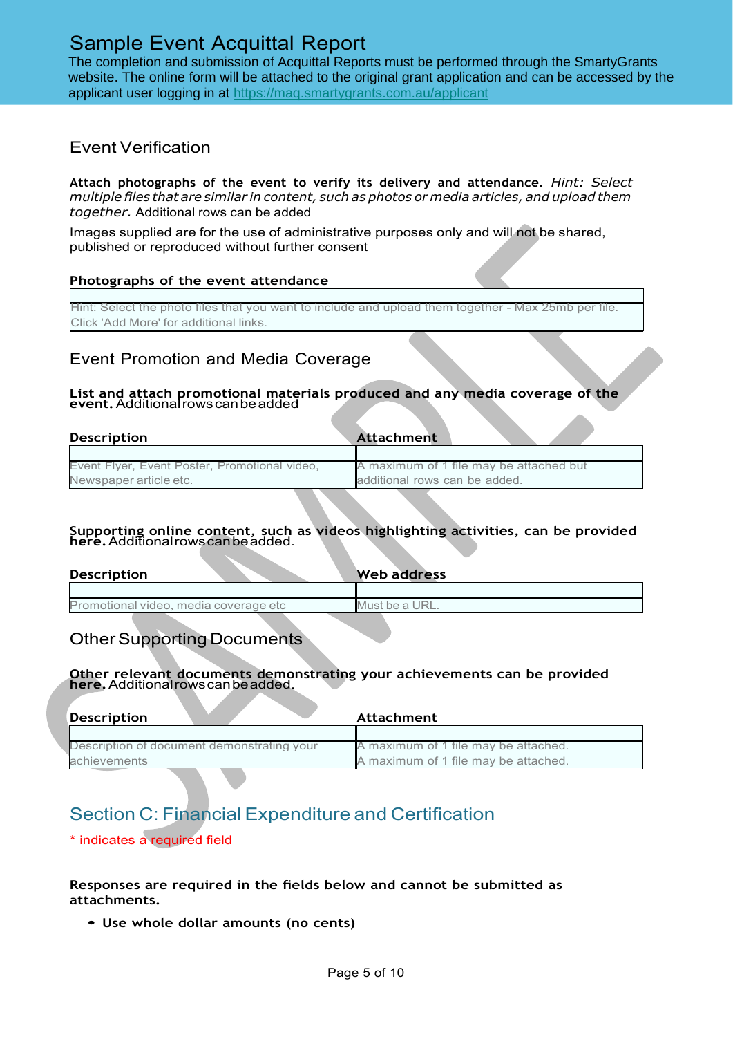The completion and submission of Acquittal Reports must be performed through the SmartyGrants website. The online form will be attached to the original grant application and can be accessed by the applicant user logging in at <https://maq.smartygrants.com.au/applicant>

### Event Verification

**Attach photographs of the event to verify its delivery and attendance.** *Hint: Select multiple files that are similar in content, such as photos or media articles, and upload them together.* Additional rows can be added

Images supplied are for the use of administrative purposes only and will not be shared, published or reproduced without further consent

#### **Photographs of the event attendance**

Hint: Select the photo files that you want to include and upload them together - Max 25mb per file. Click 'Add More' for additional links.

## Event Promotion and Media Coverage

#### **List and attach promotional materials produced and any media coverage of the event.**Additionalrowscanbeadded

| <b>Description</b>                            | Attachment                              |
|-----------------------------------------------|-----------------------------------------|
|                                               |                                         |
| Event Flyer, Event Poster, Promotional video, | A maximum of 1 file may be attached but |
| Newspaper article etc.                        | additional rows can be added.           |

#### **Supporting online content, such as videos highlighting activities, can be provided here.**Additionalrowscanbeadded.

| <b>Description</b>                    | Web address    |
|---------------------------------------|----------------|
|                                       |                |
| Promotional video, media coverage etc | Must be a URL. |
|                                       |                |

# **Other Supporting Documents**

#### **Other relevant documents demonstrating your achievements can be provided here.**Additionalrowscanbeadded.

| Description                                | Attachment                           |
|--------------------------------------------|--------------------------------------|
|                                            |                                      |
| Description of document demonstrating your | A maximum of 1 file may be attached. |
| achievements                               | A maximum of 1 file may be attached. |

# Section C: Financial Expenditure and Certification

\* indicates a required field

#### **Responses are required in the fields below and cannot be submitted as attachments.**

• **Use whole dollar amounts (no cents)**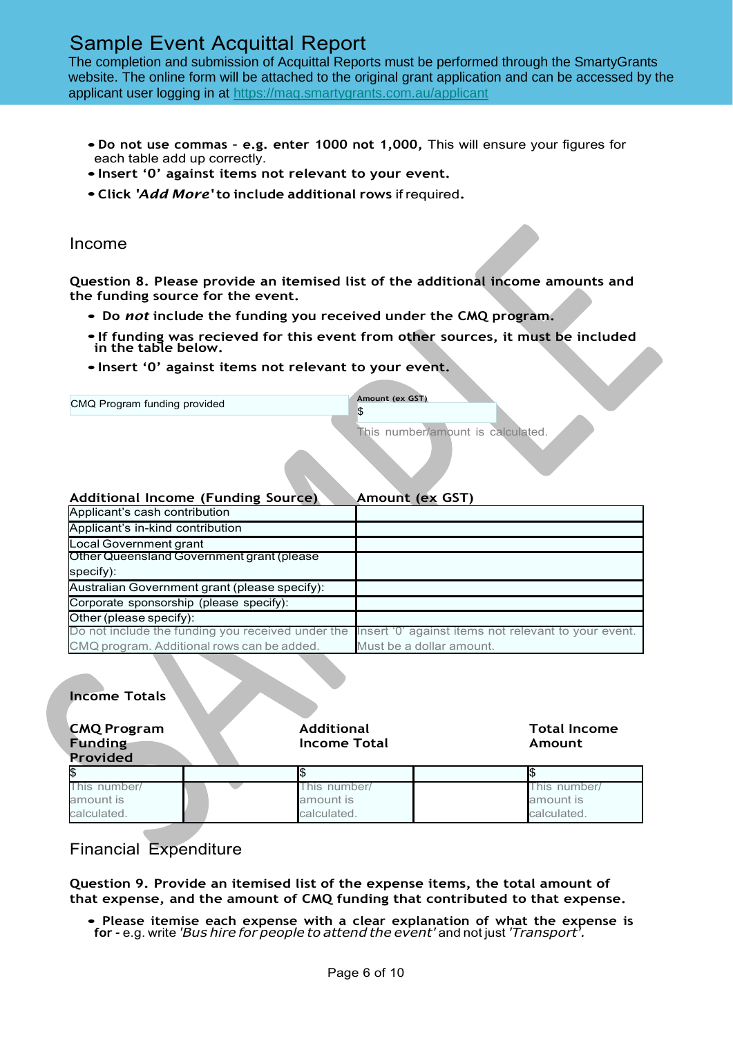The completion and submission of Acquittal Reports must be performed through the SmartyGrants website. The online form will be attached to the original grant application and can be accessed by the applicant user logging in at <https://maq.smartygrants.com.au/applicant>

- •**Do not use commas – e.g. enter <sup>1000</sup> not 1,000,** This will ensure your figures for each table add up correctly.
- •**Insert '0' against items not relevant to your event.**
- •**Click** *'Add More'* **to include additional rows** if required**.**

#### Income

**Question 8. Please provide an itemised list of the additional income amounts and the funding source for the event.**

- **Do** *not* **include the funding you received under the CMQ program.**
- •**If funding was recieved for this event from other sources, it must be included in the table below.**
- •**Insert '0' against items not relevant to your event.**

| CMQ Program funding provided                  | Amount (ex GST)<br>\$             |
|-----------------------------------------------|-----------------------------------|
|                                               | This number/amount is calculated. |
| <b>Additional Income (Funding Source)</b>     | <b>Amount (ex GST)</b>            |
| Applicant's cash contribution                 |                                   |
| Applicant's in-kind contribution              |                                   |
| Local Government grant                        |                                   |
| Other Queensland Government grant (please     |                                   |
| specify):                                     |                                   |
| Australian Government grant (please specify): |                                   |

| Other (please specify):                                                                                 |                          |
|---------------------------------------------------------------------------------------------------------|--------------------------|
| Do not include the funding you received under the linsert '0' against items not relevant to your event. |                          |
| CMQ program. Additional rows can be added.                                                              | Must be a dollar amount. |

| <b>Income Totals</b>                             |                                          |                                          |
|--------------------------------------------------|------------------------------------------|------------------------------------------|
| <b>CMQ Program</b><br><b>Funding</b><br>Provided | <b>Additional</b><br><b>Income Total</b> | <b>Total Income</b><br>Amount            |
|                                                  | I\$                                      |                                          |
| This number/<br>amount is<br>calculated.         | This number/<br>amount is<br>calculated. | This number/<br>amount is<br>calculated. |

## Financial Expenditure

Corporate sponsorship (please specify):

**Question 9. Provide an itemised list of the expense items, the total amount of that expense, and the amount of CMQ funding that contributed to that expense.**

• **Please itemise each expense with <sup>a</sup> clear explanation of what the expense is for -** e.g. write *'Bus hire for people to attend the event'* and not just *'Transport'.*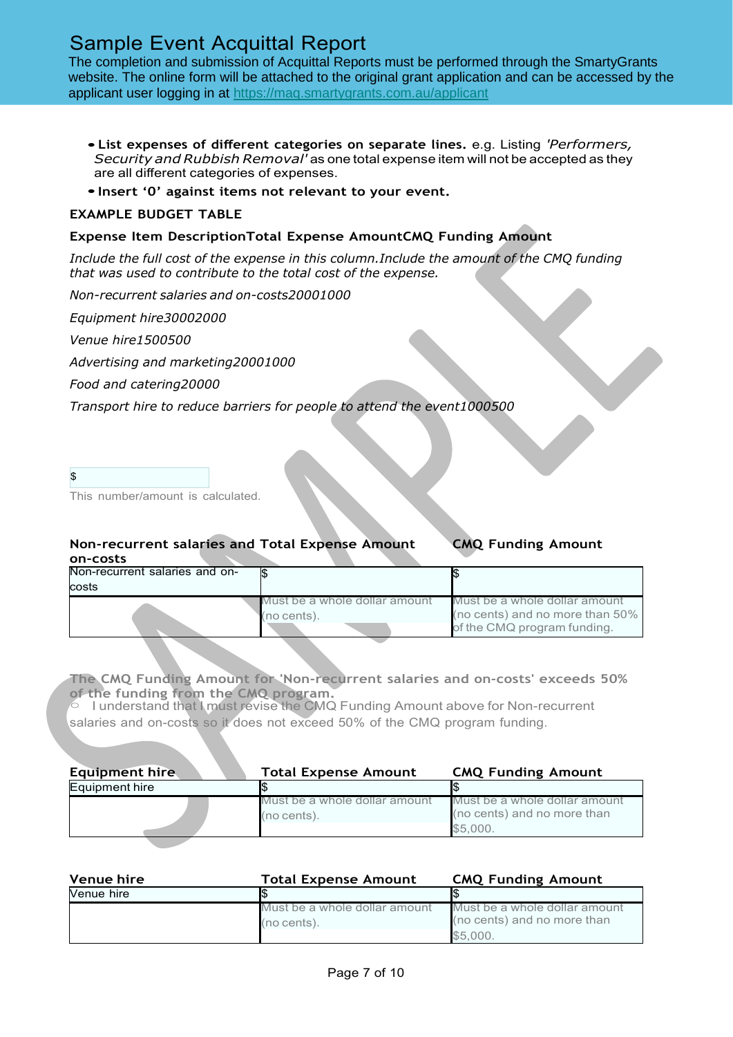The completion and submission of Acquittal Reports must be performed through the SmartyGrants website. The online form will be attached to the original grant application and can be accessed by the applicant user logging in at <https://maq.smartygrants.com.au/applicant>

- **List expenses of different categories on separate lines.** e.g. Listing *'Performers, Security and Rubbish Removal'* asone totalexpense item willnotbe accepted as they are all different categories of expenses.
- •**Insert '0' against items not relevant to your event.**

#### **EXAMPLE BUDGET TABLE**

#### **Expense Item DescriptionTotal Expense AmountCMQ Funding Amount**

*Include the full cost of the expense in this column.Include the amount of the CMQ funding that was used to contribute to the total cost of the expense.*

*Non-recurrent salaries and on-costs20001000* 

*Equipment hire30002000*

*Venue hire1500500*

*Advertising and marketing20001000* 

*Food and catering20000*

*Transport hire to reduce barriers for people to attend the event1000500*

| \$     |  |        |  |
|--------|--|--------|--|
| $\sim$ |  | $\sim$ |  |

This number/amount is calculated.

### **Non-recurrent salaries and Total Expense Amount CMQ Funding Amount on-costs**

| Non-recurrent salaries and on- |                                              |                                                                                                 |
|--------------------------------|----------------------------------------------|-------------------------------------------------------------------------------------------------|
| costs                          |                                              |                                                                                                 |
|                                | Must be a whole dollar amount<br>(no cents). | Must be a whole dollar amount<br>(no cents) and no more than 50%<br>of the CMQ program funding. |

**The CMQ Funding Amount for 'Non-recurrent salaries and on-costs' exceeds 50% of the funding from the CMQ program.**

○ I understand that I must revise the CMQ Funding Amount above for Non-recurrent salaries and on-costs so it does not exceed 50% of the CMQ program funding.

| <b>Equipment hire</b> | <b>Total Expense Amount</b>                  | <b>CMQ Funding Amount</b>                                                |
|-----------------------|----------------------------------------------|--------------------------------------------------------------------------|
| Equipment hire        |                                              |                                                                          |
|                       | Must be a whole dollar amount<br>(no cents). | Must be a whole dollar amount<br>(no cents) and no more than<br>\$5.000. |

| Venue hire | <b>Total Expense Amount</b>   | <b>CMQ Funding Amount</b>     |
|------------|-------------------------------|-------------------------------|
| Venue hire |                               |                               |
|            | Must be a whole dollar amount | Must be a whole dollar amount |
|            | (no cents).                   | (no cents) and no more than   |
|            |                               | \$5.000.                      |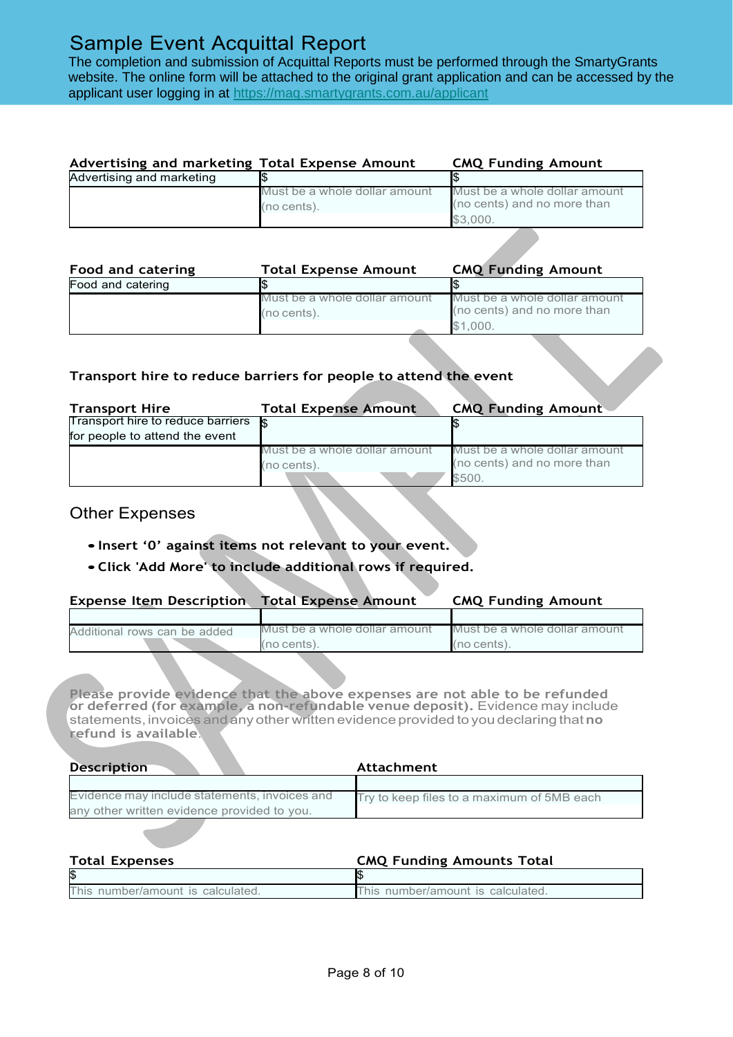The completion and submission of Acquittal Reports must be performed through the SmartyGrants website. The online form will be attached to the original grant application and can be accessed by the applicant user logging in at <https://maq.smartygrants.com.au/applicant>

| Advertising and marketing Total Expense Amount |                               | <b>CMQ Funding Amount</b>     |  |
|------------------------------------------------|-------------------------------|-------------------------------|--|
| Advertising and marketing                      |                               |                               |  |
|                                                | Must be a whole dollar amount | Must be a whole dollar amount |  |
|                                                | (no cents).                   | (no cents) and no more than   |  |
|                                                |                               | \$3.000.                      |  |

| Must be a whole dollar amount<br>Must be a whole dollar amount |
|----------------------------------------------------------------|
| (no cents) and no more than<br>(no cents).<br>\$1.000.         |
|                                                                |

### **Transport hire to reduce barriers for people to attend the event**

| <b>Transport Hire</b>             | <b>Total Expense Amount</b>   | <b>CMQ Funding Amount</b>     |
|-----------------------------------|-------------------------------|-------------------------------|
| Transport hire to reduce barriers |                               |                               |
| for people to attend the event    |                               |                               |
|                                   | Must be a whole dollar amount | Must be a whole dollar amount |
|                                   | (no cents).                   | (no cents) and no more than   |
|                                   |                               | \$500.                        |

### Other Expenses

- •**Insert '0' against items not relevant to your event.**
- •**Click 'Add More' to include additional rows if required.**

| <b>Expense Item Description Total Expense Amount</b> |                               | <b>CMQ Funding Amount</b>     |  |
|------------------------------------------------------|-------------------------------|-------------------------------|--|
|                                                      |                               |                               |  |
| Additional rows can be added                         | Must be a whole dollar amount | Must be a whole dollar amount |  |
|                                                      | (no cents).                   | (no cents).                   |  |

**Please provide evidence that the above expenses are not able to be refunded or deferred (for example, a non-refundable venue deposit).** Evidence may include statements, invoices and any other written evidence provided to you declaring that **no refund is available**.

| <b>Description</b>                            | Attachment                                 |  |
|-----------------------------------------------|--------------------------------------------|--|
|                                               |                                            |  |
| Evidence may include statements, invoices and | Try to keep files to a maximum of 5MB each |  |
| any other written evidence provided to you.   |                                            |  |

| <b>Total Expenses</b>             | <b>CMQ Funding Amounts Total</b>  |
|-----------------------------------|-----------------------------------|
| 1\$                               |                                   |
| This number/amount is calculated. | This number/amount is calculated. |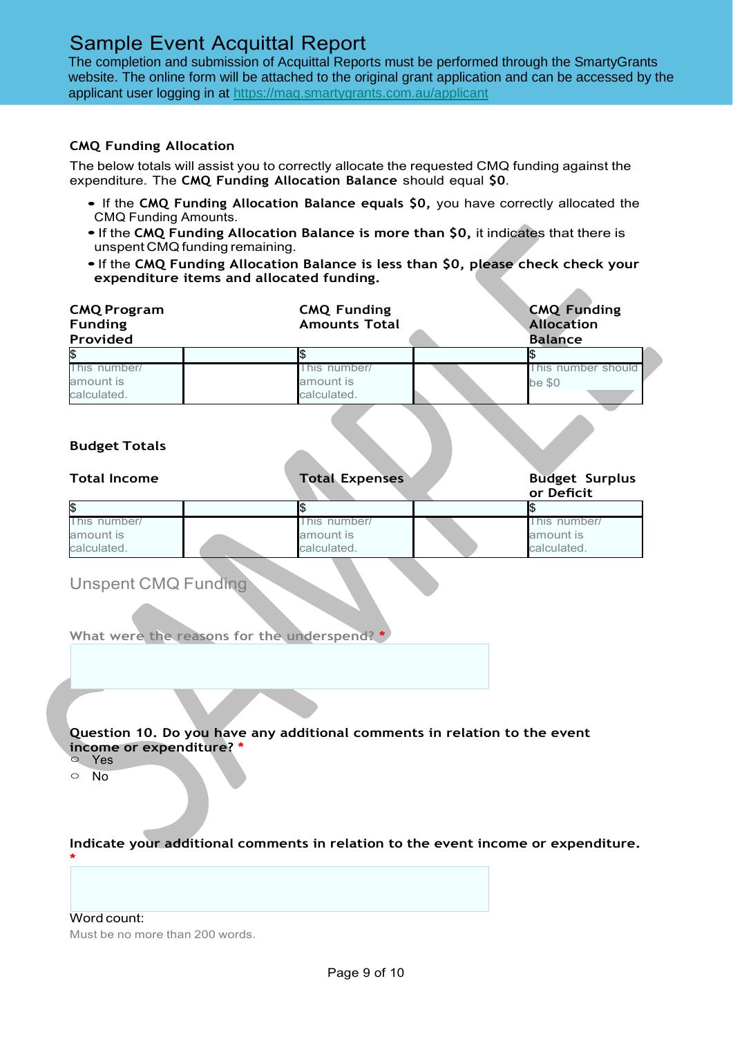The completion and submission of Acquittal Reports must be performed through the SmartyGrants website. The online form will be attached to the original grant application and can be accessed by the applicant user logging in at <https://maq.smartygrants.com.au/applicant>

### **CMQ Funding Allocation**

The below totals will assist you to correctly allocate the requested CMQ funding against the expenditure. The **CMQ Funding Allocation Balance** should equal **\$0**.

- If the **CMQ Funding Allocation Balance equals \$0,** you have correctly allocated the CMQ Funding Amounts.
- •If the **CMQ Funding Allocation Balance is more than \$0,** it indicates that there is unspent CMQ funding remaining.
- •If the **CMQ Funding Allocation Balance is less than \$0, please check check your expenditure items and allocated funding.**

| <b>CMQ Program</b><br><b>Funding</b><br>Provided | <b>CMQ Funding</b><br><b>Amounts Total</b> | <b>CMQ Funding</b><br><b>Allocation</b><br><b>Balance</b> |
|--------------------------------------------------|--------------------------------------------|-----------------------------------------------------------|
| \$                                               | \$                                         | \$                                                        |
| This number/                                     | This number/                               | This number should                                        |
| amount is<br>calculated.                         | amount is<br>calculated.                   | be \$0                                                    |
| <b>Budget Totals</b>                             |                                            |                                                           |
| <b>Total Income</b>                              | <b>Total Expenses</b>                      | <b>Budget Surplus</b><br>or Deficit                       |
| \$                                               | \$                                         | \$                                                        |
| This number/                                     | This number/                               | This number/                                              |
| amount is<br>calculated.                         | amount is<br>calculated.                   | amount is<br>calculated.                                  |
|                                                  |                                            |                                                           |
| <b>Unspent CMQ Funding</b>                       |                                            |                                                           |

#### **Question 10. Do you have any additional comments in relation to the event income or expenditure? \***

○ Yes

○ No

#### **Indicate your additional comments in relation to the event income or expenditure. \***

Word count: Must be no more than 200 words.